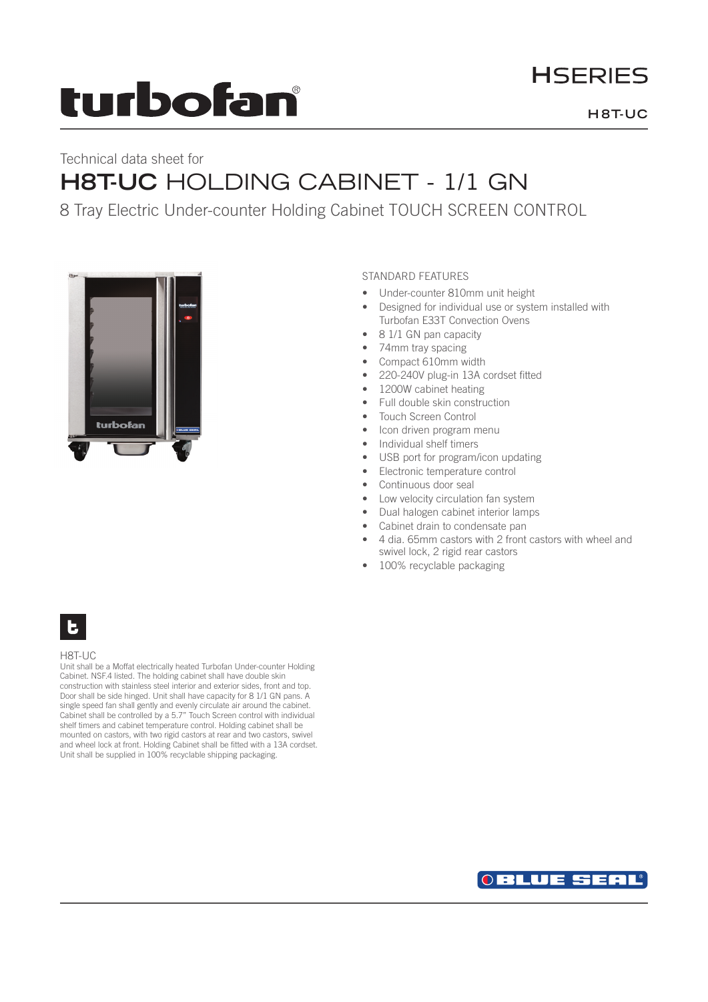# **turbofan**

# **HSERIES**

### **H 8T-UC**

# Technical data sheet for **H8T-UC** HOLDING CABINET - 1/1 GN

## 8 Tray Electric Under-counter Holding Cabinet TOUCH SCREEN CONTROL



### STANDARD FEATURES

- Under-counter 810mm unit height
- Designed for individual use or system installed with Turbofan E33T Convection Ovens
- 8 1/1 GN pan capacity
- 74mm tray spacing
- Compact 610mm width
- 220-240V plug-in 13A cordset fitted
- 1200W cabinet heating
- Full double skin construction
- Touch Screen Control
- Icon driven program menu
- Individual shelf timers
- USB port for program/icon updating
- Electronic temperature control
- Continuous door seal
- Low velocity circulation fan system
- Dual halogen cabinet interior lamps
- Cabinet drain to condensate pan
- 4 dia. 65mm castors with 2 front castors with wheel and swivel lock, 2 rigid rear castors
- 100% recyclable packaging

# E.

#### H8T-UC

Unit shall be a Moffat electrically heated Turbofan Under-counter Holding Cabinet. NSF.4 listed. The holding cabinet shall have double skin construction with stainless steel interior and exterior sides, front and top. Door shall be side hinged. Unit shall have capacity for 8 1/1 GN pans. A single speed fan shall gently and evenly circulate air around the cabinet. Cabinet shall be controlled by a 5.7" Touch Screen control with individual shelf timers and cabinet temperature control. Holding cabinet shall be mounted on castors, with two rigid castors at rear and two castors, swivel and wheel lock at front. Holding Cabinet shall be fitted with a 13A cordset. Unit shall be supplied in 100% recyclable shipping packaging.